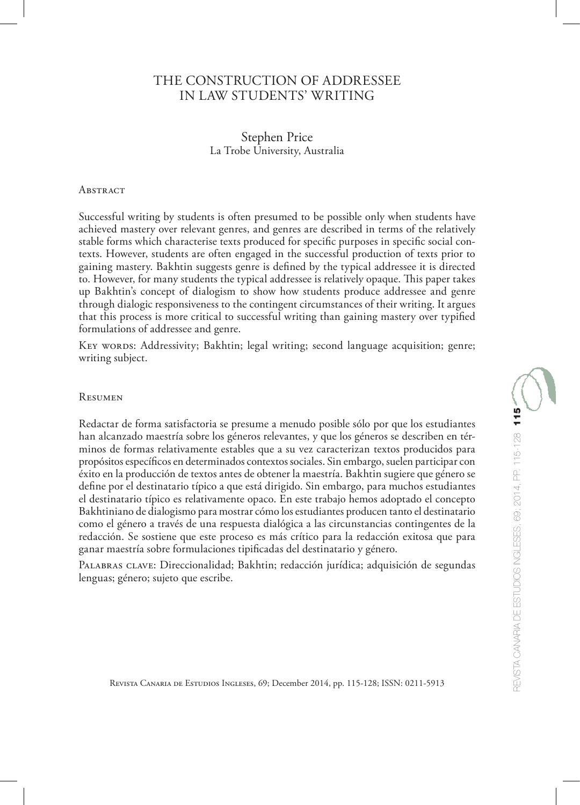# THE CONSTRUCTION OF ADDRESSEE IN LAW STUDENTS' WRITING

### Stephen Price La Trobe University, Australia

#### **Abstract**

Successful writing by students is often presumed to be possible only when students have achieved mastery over relevant genres, and genres are described in terms of the relatively stable forms which characterise texts produced for specific purposes in specific social contexts. However, students are often engaged in the successful production of texts prior to gaining mastery. Bakhtin suggests genre is defined by the typical addressee it is directed to. However, for many students the typical addressee is relatively opaque. This paper takes up Bakhtin's concept of dialogism to show how students produce addressee and genre through dialogic responsiveness to the contingent circumstances of their writing. It argues that this process is more critical to successful writing than gaining mastery over typified formulations of addressee and genre.

Key words: Addressivity; Bakhtin; legal writing; second language acquisition; genre; writing subject.

#### **RESUMEN**

Redactar de forma satisfactoria se presume a menudo posible sólo por que los estudiantes han alcanzado maestría sobre los géneros relevantes, y que los géneros se describen en términos de formas relativamente estables que a su vez caracterizan textos producidos para propósitos específicos en determinados contextos sociales. Sin embargo, suelen participar con éxito en la producción de textos antes de obtener la maestría. Bakhtin sugiere que género se define por el destinatario típico a que está dirigido. Sin embargo, para muchos estudiantes el destinatario típico es relativamente opaco. En este trabajo hemos adoptado el concepto Bakhtiniano de dialogismo para mostrar cómo los estudiantes producen tanto el destinatario como el género a través de una respuesta dialógica a las circunstancias contingentes de la redacción. Se sostiene que este proceso es más crítico para la redacción exitosa que para ganar maestría sobre formulaciones tipificadas del destinatario y género.

Palabras clave: Direccionalidad; Bakhtin; redacción jurídica; adquisición de segundas lenguas; género; sujeto que escribe.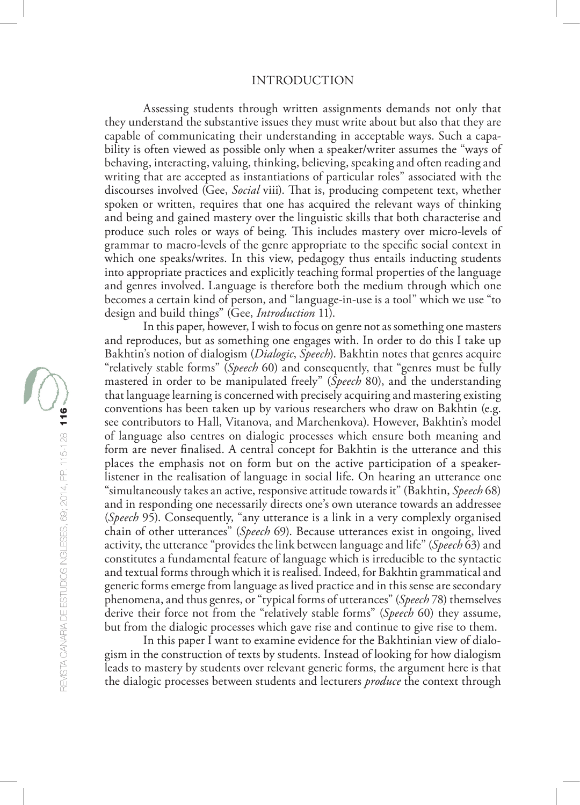#### INTRODUCTION

Assessing students through written assignments demands not only that they understand the substantive issues they must write about but also that they are capable of communicating their understanding in acceptable ways. Such a capability is often viewed as possible only when a speaker/writer assumes the "ways of behaving, interacting, valuing, thinking, believing, speaking and often reading and writing that are accepted as instantiations of particular roles" associated with the discourses involved (Gee, *Social* viii). That is, producing competent text, whether spoken or written, requires that one has acquired the relevant ways of thinking and being and gained mastery over the linguistic skills that both characterise and produce such roles or ways of being. This includes mastery over micro-levels of grammar to macro-levels of the genre appropriate to the specific social context in which one speaks/writes. In this view, pedagogy thus entails inducting students into appropriate practices and explicitly teaching formal properties of the language and genres involved. Language is therefore both the medium through which one becomes a certain kind of person, and "language-in-use is a tool" which we use "to design and build things" (Gee, *Introduction* 11).

In this paper, however, I wish to focus on genre not as something one masters and reproduces, but as something one engages with. In order to do this I take up Bakhtin's notion of dialogism (*Dialogic*, *Speech*). Bakhtin notes that genres acquire "relatively stable forms" (*Speech* 60) and consequently, that "genres must be fully mastered in order to be manipulated freely" (*Speech* 80), and the understanding that language learning is concerned with precisely acquiring and mastering existing conventions has been taken up by various researchers who draw on Bakhtin (e.g. see contributors to Hall, Vitanova, and Marchenkova). However, Bakhtin's model of language also centres on dialogic processes which ensure both meaning and form are never finalised. A central concept for Bakhtin is the utterance and this places the emphasis not on form but on the active participation of a speakerlistener in the realisation of language in social life. On hearing an utterance one "simultaneously takes an active, responsive attitude towards it" (Bakhtin, *Speech* 68) and in responding one necessarily directs one's own uterance towards an addressee (*Speech* 95). Consequently, "any utterance is a link in a very complexly organised chain of other utterances" (*Speech* 69). Because utterances exist in ongoing, lived activity, the utterance "provides the link between language and life" (*Speech* 63) and constitutes a fundamental feature of language which is irreducible to the syntactic and textual forms through which it is realised. Indeed, for Bakhtin grammatical and generic forms emerge from language as lived practice and in this sense are secondary phenomena, and thus genres, or "typical forms of utterances" (*Speech* 78) themselves derive their force not from the "relatively stable forms" (*Speech* 60) they assume, but from the dialogic processes which gave rise and continue to give rise to them.

In this paper I want to examine evidence for the Bakhtinian view of dialogism in the construction of texts by students. Instead of looking for how dialogism leads to mastery by students over relevant generic forms, the argument here is that the dialogic processes between students and lecturers *produce* the context through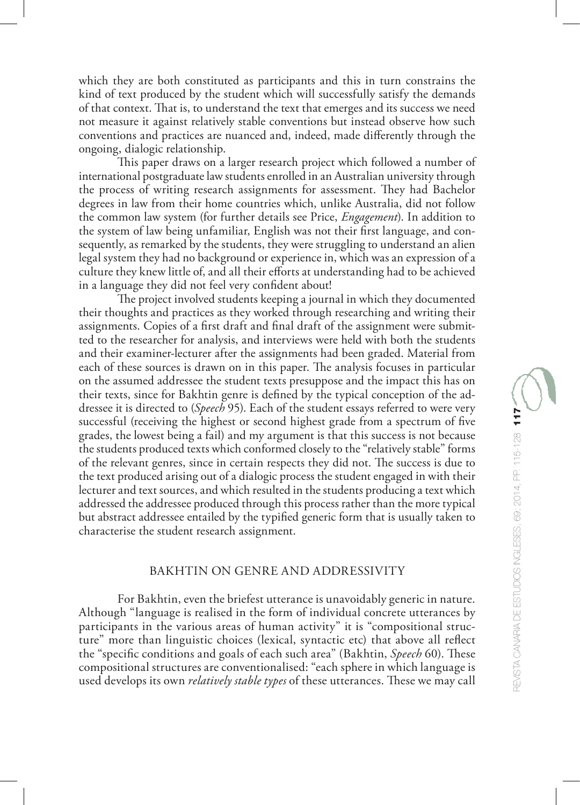which they are both constituted as participants and this in turn constrains the kind of text produced by the student which will successfully satisfy the demands of that context. That is, to understand the text that emerges and its success we need not measure it against relatively stable conventions but instead observe how such conventions and practices are nuanced and, indeed, made differently through the ongoing, dialogic relationship.

This paper draws on a larger research project which followed a number of international postgraduate law students enrolled in an Australian university through the process of writing research assignments for assessment. They had Bachelor degrees in law from their home countries which, unlike Australia, did not follow the common law system (for further details see Price, *Engagement*). In addition to the system of law being unfamiliar, English was not their first language, and consequently, as remarked by the students, they were struggling to understand an alien legal system they had no background or experience in, which was an expression of a culture they knew little of, and all their efforts at understanding had to be achieved in a language they did not feel very confident about!

The project involved students keeping a journal in which they documented their thoughts and practices as they worked through researching and writing their assignments. Copies of a first draft and final draft of the assignment were submitted to the researcher for analysis, and interviews were held with both the students and their examiner-lecturer after the assignments had been graded. Material from each of these sources is drawn on in this paper. The analysis focuses in particular on the assumed addressee the student texts presuppose and the impact this has on their texts, since for Bakhtin genre is defined by the typical conception of the addressee it is directed to (*Speech* 95). Each of the student essays referred to were very successful (receiving the highest or second highest grade from a spectrum of five grades, the lowest being a fail) and my argument is that this success is not because the students produced texts which conformed closely to the "relatively stable" forms of the relevant genres, since in certain respects they did not. The success is due to the text produced arising out of a dialogic process the student engaged in with their lecturer and text sources, and which resulted in the students producing a text which addressed the addressee produced through this process rather than the more typical but abstract addressee entailed by the typified generic form that is usually taken to characterise the student research assignment.

#### BAKHTIN ON GENRE AND ADDRESSIVITY

For Bakhtin, even the briefest utterance is unavoidably generic in nature. Although "language is realised in the form of individual concrete utterances by participants in the various areas of human activity" it is "compositional structure" more than linguistic choices (lexical, syntactic etc) that above all reflect the "specific conditions and goals of each such area" (Bakhtin, *Speech* 60). These compositional structures are conventionalised: "each sphere in which language is used develops its own *relatively stable types* of these utterances. These we may call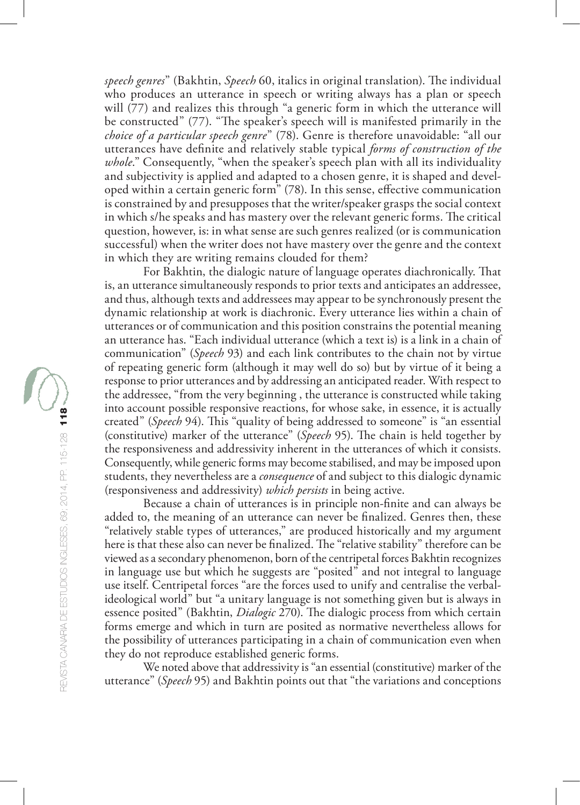*speech genres*" (Bakhtin, *Speech* 60, italics in original translation). The individual who produces an utterance in speech or writing always has a plan or speech will (77) and realizes this through "a generic form in which the utterance will be constructed" (77). "The speaker's speech will is manifested primarily in the *choice of a particular speech genre*" (78). Genre is therefore unavoidable: "all our utterances have definite and relatively stable typical *forms of construction of the whole*." Consequently, "when the speaker's speech plan with all its individuality and subjectivity is applied and adapted to a chosen genre, it is shaped and developed within a certain generic form" (78). In this sense, effective communication is constrained by and presupposes that the writer/speaker grasps the social context in which s/he speaks and has mastery over the relevant generic forms. The critical question, however, is: in what sense are such genres realized (or is communication successful) when the writer does not have mastery over the genre and the context in which they are writing remains clouded for them?

For Bakhtin, the dialogic nature of language operates diachronically. That is, an utterance simultaneously responds to prior texts and anticipates an addressee, and thus, although texts and addressees may appear to be synchronously present the dynamic relationship at work is diachronic. Every utterance lies within a chain of utterances or of communication and this position constrains the potential meaning an utterance has. "Each individual utterance (which a text is) is a link in a chain of communication" (*Speech* 93) and each link contributes to the chain not by virtue of repeating generic form (although it may well do so) but by virtue of it being a response to prior utterances and by addressing an anticipated reader. With respect to the addressee, "from the very beginning , the utterance is constructed while taking into account possible responsive reactions, for whose sake, in essence, it is actually created" (*Speech* 94). This "quality of being addressed to someone" is "an essential (constitutive) marker of the utterance" (*Speech* 95). The chain is held together by the responsiveness and addressivity inherent in the utterances of which it consists. Consequently, while generic forms may become stabilised, and may be imposed upon students, they nevertheless are a *consequence* of and subject to this dialogic dynamic (responsiveness and addressivity) *which persists* in being active.

Because a chain of utterances is in principle non-finite and can always be added to, the meaning of an utterance can never be finalized. Genres then, these "relatively stable types of utterances," are produced historically and my argument here is that these also can never be finalized. The "relative stability" therefore can be viewed as a secondary phenomenon, born of the centripetal forces Bakhtin recognizes in language use but which he suggests are "posited" and not integral to language use itself. Centripetal forces "are the forces used to unify and centralise the verbalideological world" but "a unitary language is not something given but is always in essence posited" (Bakhtin, *Dialogic* 270). The dialogic process from which certain forms emerge and which in turn are posited as normative nevertheless allows for the possibility of utterances participating in a chain of communication even when they do not reproduce established generic forms.

We noted above that addressivity is "an essential (constitutive) marker of the utterance" (*Speech* 95) and Bakhtin points out that "the variations and conceptions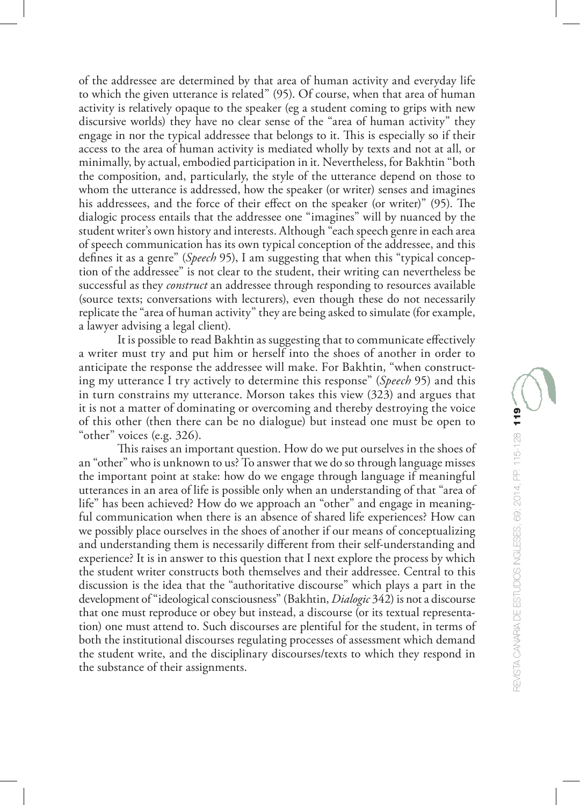of the addressee are determined by that area of human activity and everyday life to which the given utterance is related" (95). Of course, when that area of human activity is relatively opaque to the speaker (eg a student coming to grips with new discursive worlds) they have no clear sense of the "area of human activity" they engage in nor the typical addressee that belongs to it. This is especially so if their access to the area of human activity is mediated wholly by texts and not at all, or minimally, by actual, embodied participation in it. Nevertheless, for Bakhtin "both the composition, and, particularly, the style of the utterance depend on those to whom the utterance is addressed, how the speaker (or writer) senses and imagines his addressees, and the force of their effect on the speaker (or writer)" (95). The dialogic process entails that the addressee one "imagines" will by nuanced by the student writer's own history and interests. Although "each speech genre in each area of speech communication has its own typical conception of the addressee, and this defines it as a genre" (*Speech* 95), I am suggesting that when this "typical conception of the addressee" is not clear to the student, their writing can nevertheless be successful as they *construct* an addressee through responding to resources available (source texts; conversations with lecturers), even though these do not necessarily replicate the "area of human activity" they are being asked to simulate (for example, a lawyer advising a legal client).

It is possible to read Bakhtin as suggesting that to communicate effectively a writer must try and put him or herself into the shoes of another in order to anticipate the response the addressee will make. For Bakhtin, "when constructing my utterance I try actively to determine this response" (*Speech* 95) and this in turn constrains my utterance. Morson takes this view (323) and argues that it is not a matter of dominating or overcoming and thereby destroying the voice of this other (then there can be no dialogue) but instead one must be open to "other" voices (e.g. 326).

This raises an important question. How do we put ourselves in the shoes of an "other" who is unknown to us? To answer that we do so through language misses the important point at stake: how do we engage through language if meaningful utterances in an area of life is possible only when an understanding of that "area of life" has been achieved? How do we approach an "other" and engage in meaningful communication when there is an absence of shared life experiences? How can we possibly place ourselves in the shoes of another if our means of conceptualizing and understanding them is necessarily different from their self-understanding and experience? It is in answer to this question that I next explore the process by which the student writer constructs both themselves and their addressee. Central to this discussion is the idea that the "authoritative discourse" which plays a part in the development of "ideological consciousness" (Bakhtin, *Dialogic* 342) is not a discourse that one must reproduce or obey but instead, a discourse (or its textual representation) one must attend to. Such discourses are plentiful for the student, in terms of both the institutional discourses regulating processes of assessment which demand the student write, and the disciplinary discourses/texts to which they respond in the substance of their assignments.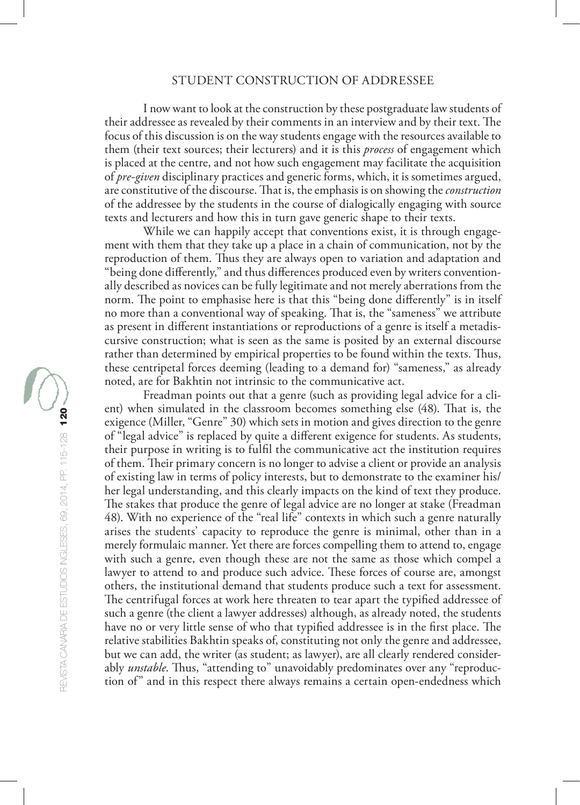#### STUDENT CONSTRUCTION OF ADDRESSEE

I now want to look at the construction by these postgraduate law students of their addressee as revealed by their comments in an interview and by their text. The focus of this discussion is on the way students engage with the resources available to them (their text sources; their lecturers) and it is this *process* of engagement which is placed at the centre, and not how such engagement may facilitate the acquisition of *pre-given* disciplinary practices and generic forms, which, it is sometimes argued, are constitutive of the discourse. That is, the emphasis is on showing the *construction* of the addressee by the students in the course of dialogically engaging with source texts and lecturers and how this in turn gave generic shape to their texts.

While we can happily accept that conventions exist, it is through engagement with them that they take up a place in a chain of communication, not by the reproduction of them. Thus they are always open to variation and adaptation and "being done differently," and thus differences produced even by writers conventionally described as novices can be fully legitimate and not merely aberrations from the norm. The point to emphasise here is that this "being done differently" is in itself no more than a conventional way of speaking. That is, the "sameness" we attribute as present in different instantiations or reproductions of a genre is itself a metadiscursive construction; what is seen as the same is posited by an external discourse rather than determined by empirical properties to be found within the texts. Thus, these centripetal forces deeming (leading to a demand for) "sameness," as already noted, are for Bakhtin not intrinsic to the communicative act.

Freadman points out that a genre (such as providing legal advice for a client) when simulated in the classroom becomes something else (48). That is, the exigence (Miller, "Genre" 30) which sets in motion and gives direction to the genre of "legal advice" is replaced by quite a different exigence for students. As students, their purpose in writing is to fulfil the communicative act the institution requires of them. Their primary concern is no longer to advise a client or provide an analysis of existing law in terms of policy interests, but to demonstrate to the examiner his/ her legal understanding, and this clearly impacts on the kind of text they produce. The stakes that produce the genre of legal advice are no longer at stake (Freadman 48). With no experience of the "real life" contexts in which such a genre naturally arises the students' capacity to reproduce the genre is minimal, other than in a merely formulaic manner. Yet there are forces compelling them to attend to, engage with such a genre, even though these are not the same as those which compel a lawyer to attend to and produce such advice. These forces of course are, amongst others, the institutional demand that students produce such a text for assessment. The centrifugal forces at work here threaten to tear apart the typified addressee of such a genre (the client a lawyer addresses) although, as already noted, the students have no or very little sense of who that typified addressee is in the first place. The relative stabilities Bakhtin speaks of, constituting not only the genre and addressee, but we can add, the writer (as student; as lawyer), are all clearly rendered considerably *unstable*. Thus, "attending to" unavoidably predominates over any "reproduction of" and in this respect there always remains a certain open-endedness which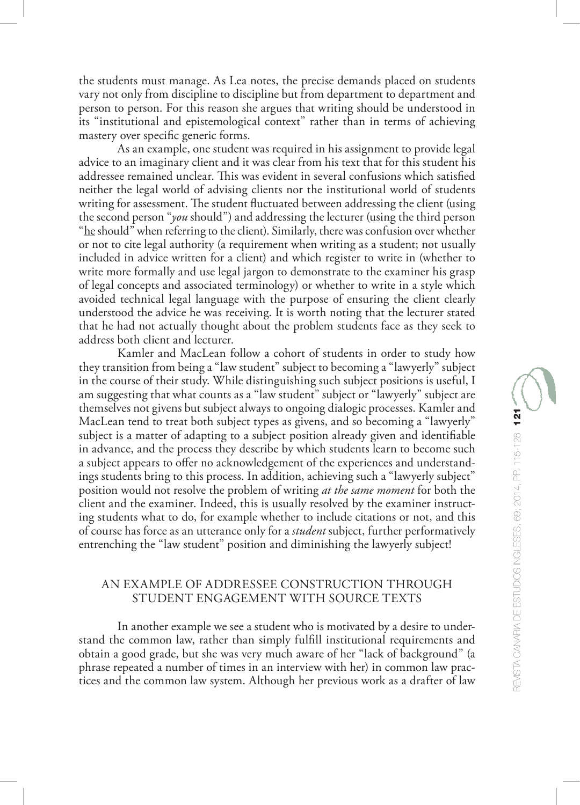the students must manage. As Lea notes, the precise demands placed on students vary not only from discipline to discipline but from department to department and person to person. For this reason she argues that writing should be understood in its "institutional and epistemological context" rather than in terms of achieving mastery over specific generic forms.

As an example, one student was required in his assignment to provide legal advice to an imaginary client and it was clear from his text that for this student his addressee remained unclear. This was evident in several confusions which satisfied neither the legal world of advising clients nor the institutional world of students writing for assessment. The student fluctuated between addressing the client (using the second person "*you* should") and addressing the lecturer (using the third person "he should" when referring to the client). Similarly, there was confusion over whether or not to cite legal authority (a requirement when writing as a student; not usually included in advice written for a client) and which register to write in (whether to write more formally and use legal jargon to demonstrate to the examiner his grasp of legal concepts and associated terminology) or whether to write in a style which avoided technical legal language with the purpose of ensuring the client clearly understood the advice he was receiving. It is worth noting that the lecturer stated that he had not actually thought about the problem students face as they seek to address both client and lecturer.

Kamler and MacLean follow a cohort of students in order to study how they transition from being a "law student" subject to becoming a "lawyerly" subject in the course of their study. While distinguishing such subject positions is useful, I am suggesting that what counts as a "law student" subject or "lawyerly" subject are themselves not givens but subject always to ongoing dialogic processes. Kamler and MacLean tend to treat both subject types as givens, and so becoming a "lawyerly" subject is a matter of adapting to a subject position already given and identifiable in advance, and the process they describe by which students learn to become such a subject appears to offer no acknowledgement of the experiences and understandings students bring to this process. In addition, achieving such a "lawyerly subject" position would not resolve the problem of writing *at the same moment* for both the client and the examiner. Indeed, this is usually resolved by the examiner instructing students what to do, for example whether to include citations or not, and this of course has force as an utterance only for a *student* subject, further performatively entrenching the "law student" position and diminishing the lawyerly subject!

## AN EXAMPLE OF ADDRESSEE CONSTRUCTION THROUGH STUDENT ENGAGEMENT WITH SOURCE TEXTS

In another example we see a student who is motivated by a desire to understand the common law, rather than simply fulfill institutional requirements and obtain a good grade, but she was very much aware of her "lack of background" (a phrase repeated a number of times in an interview with her) in common law practices and the common law system. Although her previous work as a drafter of law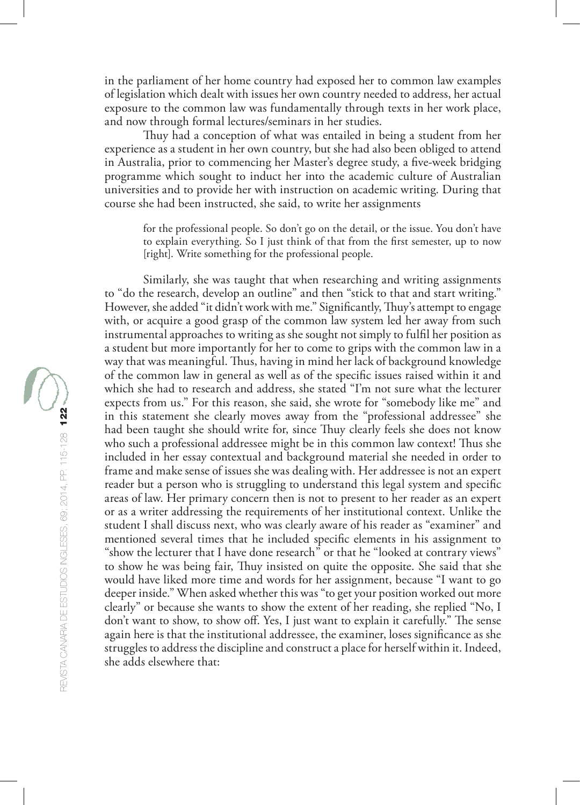in the parliament of her home country had exposed her to common law examples of legislation which dealt with issues her own country needed to address, her actual exposure to the common law was fundamentally through texts in her work place, and now through formal lectures/seminars in her studies.

Thuy had a conception of what was entailed in being a student from her experience as a student in her own country, but she had also been obliged to attend in Australia, prior to commencing her Master's degree study, a five-week bridging programme which sought to induct her into the academic culture of Australian universities and to provide her with instruction on academic writing. During that course she had been instructed, she said, to write her assignments

for the professional people. So don't go on the detail, or the issue. You don't have to explain everything. So I just think of that from the first semester, up to now [right]. Write something for the professional people.

Similarly, she was taught that when researching and writing assignments to "do the research, develop an outline" and then "stick to that and start writing." However, she added "it didn't work with me." Significantly, Thuy's attempt to engage with, or acquire a good grasp of the common law system led her away from such instrumental approaches to writing as she sought not simply to fulfil her position as a student but more importantly for her to come to grips with the common law in a way that was meaningful. Thus, having in mind her lack of background knowledge of the common law in general as well as of the specific issues raised within it and which she had to research and address, she stated "I'm not sure what the lecturer expects from us." For this reason, she said, she wrote for "somebody like me" and in this statement she clearly moves away from the "professional addressee" she had been taught she should write for, since Thuy clearly feels she does not know who such a professional addressee might be in this common law context! Thus she included in her essay contextual and background material she needed in order to frame and make sense of issues she was dealing with. Her addressee is not an expert reader but a person who is struggling to understand this legal system and specific areas of law. Her primary concern then is not to present to her reader as an expert or as a writer addressing the requirements of her institutional context. Unlike the student I shall discuss next, who was clearly aware of his reader as "examiner" and mentioned several times that he included specific elements in his assignment to "show the lecturer that I have done research" or that he "looked at contrary views" to show he was being fair, Thuy insisted on quite the opposite. She said that she would have liked more time and words for her assignment, because "I want to go deeper inside." When asked whether this was "to get your position worked out more clearly" or because she wants to show the extent of her reading, she replied "No, I don't want to show, to show off. Yes, I just want to explain it carefully." The sense again here is that the institutional addressee, the examiner, loses significance as she struggles to address the discipline and construct a place for herself within it. Indeed, she adds elsewhere that: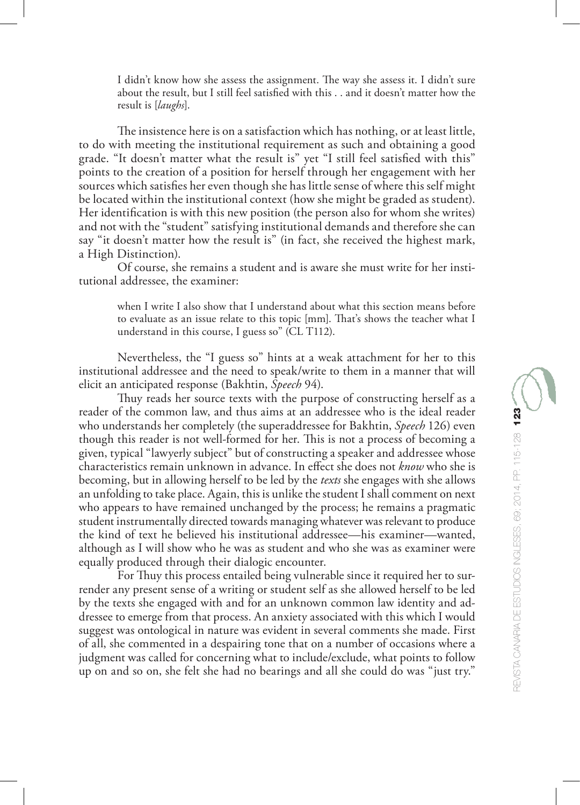I didn't know how she assess the assignment. The way she assess it. I didn't sure about the result, but I still feel satisfied with this . . and it doesn't matter how the result is [*laughs*].

The insistence here is on a satisfaction which has nothing, or at least little, to do with meeting the institutional requirement as such and obtaining a good grade. "It doesn't matter what the result is" yet "I still feel satisfied with this" points to the creation of a position for herself through her engagement with her sources which satisfies her even though she has little sense of where this self might be located within the institutional context (how she might be graded as student). Her identification is with this new position (the person also for whom she writes) and not with the "student" satisfying institutional demands and therefore she can say "it doesn't matter how the result is" (in fact, she received the highest mark, a High Distinction).

Of course, she remains a student and is aware she must write for her institutional addressee, the examiner:

when I write I also show that I understand about what this section means before to evaluate as an issue relate to this topic [mm]. That's shows the teacher what I understand in this course, I guess so" (CL T112).

Nevertheless, the "I guess so" hints at a weak attachment for her to this institutional addressee and the need to speak/write to them in a manner that will elicit an anticipated response (Bakhtin, *Speech* 94).

Thuy reads her source texts with the purpose of constructing herself as a reader of the common law, and thus aims at an addressee who is the ideal reader who understands her completely (the superaddressee for Bakhtin, *Speech* 126) even though this reader is not well-formed for her. This is not a process of becoming a given, typical "lawyerly subject" but of constructing a speaker and addressee whose characteristics remain unknown in advance. In effect she does not *know* who she is becoming, but in allowing herself to be led by the *texts* she engages with she allows an unfolding to take place. Again, this is unlike the student I shall comment on next who appears to have remained unchanged by the process; he remains a pragmatic student instrumentally directed towards managing whatever was relevant to produce the kind of text he believed his institutional addressee—his examiner—wanted, although as I will show who he was as student and who she was as examiner were equally produced through their dialogic encounter.

For Thuy this process entailed being vulnerable since it required her to surrender any present sense of a writing or student self as she allowed herself to be led by the texts she engaged with and for an unknown common law identity and addressee to emerge from that process. An anxiety associated with this which I would suggest was ontological in nature was evident in several comments she made. First of all, she commented in a despairing tone that on a number of occasions where a judgment was called for concerning what to include/exclude, what points to follow up on and so on, she felt she had no bearings and all she could do was "just try."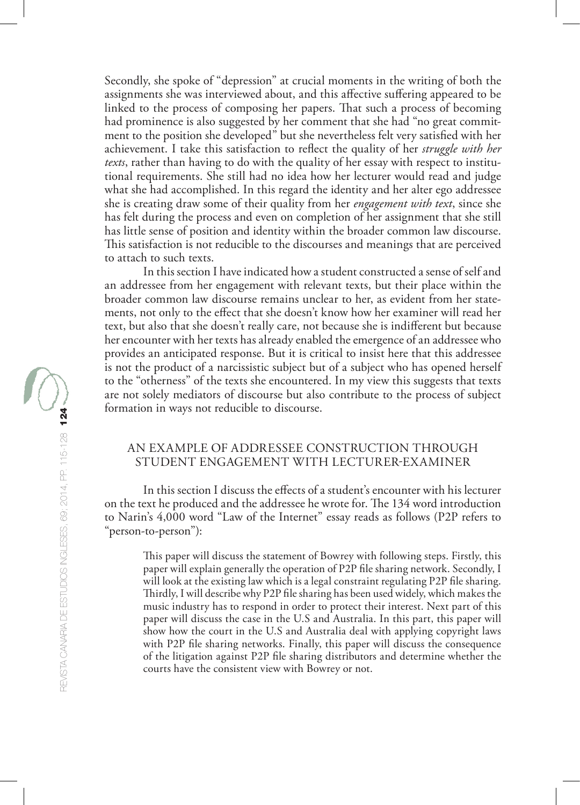Secondly, she spoke of "depression" at crucial moments in the writing of both the assignments she was interviewed about, and this affective suffering appeared to be linked to the process of composing her papers. That such a process of becoming had prominence is also suggested by her comment that she had "no great commitment to the position she developed" but she nevertheless felt very satisfied with her achievement. I take this satisfaction to reflect the quality of her *struggle with her texts*, rather than having to do with the quality of her essay with respect to institutional requirements. She still had no idea how her lecturer would read and judge what she had accomplished. In this regard the identity and her alter ego addressee she is creating draw some of their quality from her *engagement with text*, since she has felt during the process and even on completion of her assignment that she still has little sense of position and identity within the broader common law discourse. This satisfaction is not reducible to the discourses and meanings that are perceived to attach to such texts.

In this section I have indicated how a student constructed a sense of self and an addressee from her engagement with relevant texts, but their place within the broader common law discourse remains unclear to her, as evident from her statements, not only to the effect that she doesn't know how her examiner will read her text, but also that she doesn't really care, not because she is indifferent but because her encounter with her texts has already enabled the emergence of an addressee who provides an anticipated response. But it is critical to insist here that this addressee is not the product of a narcissistic subject but of a subject who has opened herself to the "otherness" of the texts she encountered. In my view this suggests that texts are not solely mediators of discourse but also contribute to the process of subject formation in ways not reducible to discourse.

### AN EXAMPLE OF ADDRESSEE CONSTRUCTION THROUGH STUDENT ENGAGEMENT WITH LECTURER-EXAMINER

In this section I discuss the effects of a student's encounter with his lecturer on the text he produced and the addressee he wrote for. The 134 word introduction to Narin's 4,000 word "Law of the Internet" essay reads as follows (P2P refers to "person-to-person"):

This paper will discuss the statement of Bowrey with following steps. Firstly, this paper will explain generally the operation of P2P file sharing network. Secondly, I will look at the existing law which is a legal constraint regulating P2P file sharing. Thirdly, I will describe why P2P file sharing has been used widely, which makes the music industry has to respond in order to protect their interest. Next part of this paper will discuss the case in the U.S and Australia. In this part, this paper will show how the court in the U.S and Australia deal with applying copyright laws with P2P file sharing networks. Finally, this paper will discuss the consequence of the litigation against P2P file sharing distributors and determine whether the courts have the consistent view with Bowrey or not.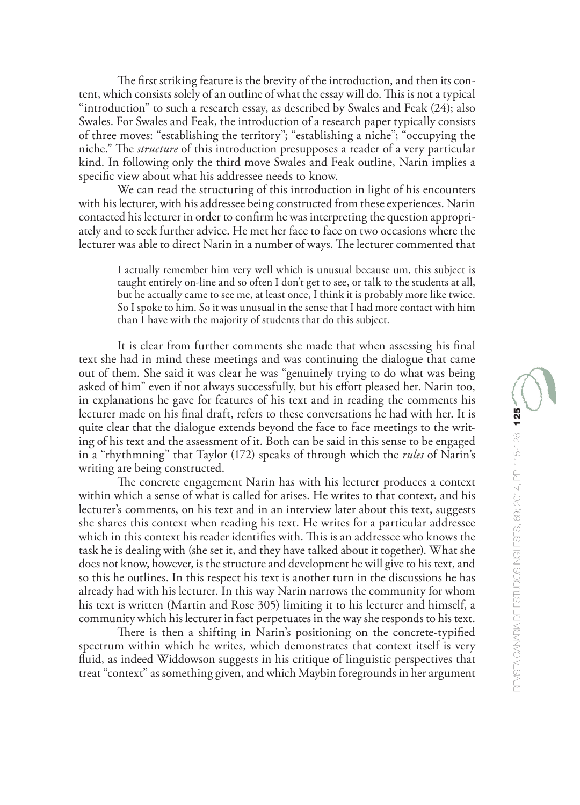The first striking feature is the brevity of the introduction, and then its content, which consists solely of an outline of what the essay will do. This is not a typical "introduction" to such a research essay, as described by Swales and Feak (24); also Swales. For Swales and Feak, the introduction of a research paper typically consists of three moves: "establishing the territory"; "establishing a niche"; "occupying the niche." The *structure* of this introduction presupposes a reader of a very particular kind. In following only the third move Swales and Feak outline, Narin implies a specific view about what his addressee needs to know.

We can read the structuring of this introduction in light of his encounters with his lecturer, with his addressee being constructed from these experiences. Narin contacted his lecturer in order to confirm he was interpreting the question appropriately and to seek further advice. He met her face to face on two occasions where the lecturer was able to direct Narin in a number of ways. The lecturer commented that

I actually remember him very well which is unusual because um, this subject is taught entirely on-line and so often I don't get to see, or talk to the students at all, but he actually came to see me, at least once, I think it is probably more like twice. So I spoke to him. So it was unusual in the sense that I had more contact with him than I have with the majority of students that do this subject.

It is clear from further comments she made that when assessing his final text she had in mind these meetings and was continuing the dialogue that came out of them. She said it was clear he was "genuinely trying to do what was being asked of him" even if not always successfully, but his effort pleased her. Narin too, in explanations he gave for features of his text and in reading the comments his lecturer made on his final draft, refers to these conversations he had with her. It is quite clear that the dialogue extends beyond the face to face meetings to the writing of his text and the assessment of it. Both can be said in this sense to be engaged in a "rhythmning" that Taylor (172) speaks of through which the *rules* of Narin's writing are being constructed.

The concrete engagement Narin has with his lecturer produces a context within which a sense of what is called for arises. He writes to that context, and his lecturer's comments, on his text and in an interview later about this text, suggests she shares this context when reading his text. He writes for a particular addressee which in this context his reader identifies with. This is an addressee who knows the task he is dealing with (she set it, and they have talked about it together). What she does not know, however, is the structure and development he will give to his text, and so this he outlines. In this respect his text is another turn in the discussions he has already had with his lecturer. In this way Narin narrows the community for whom his text is written (Martin and Rose 305) limiting it to his lecturer and himself, a community which his lecturer in fact perpetuates in the way she responds to his text.

There is then a shifting in Narin's positioning on the concrete-typified spectrum within which he writes, which demonstrates that context itself is very fluid, as indeed Widdowson suggests in his critique of linguistic perspectives that treat "context" as something given, and which Maybin foregrounds in her argument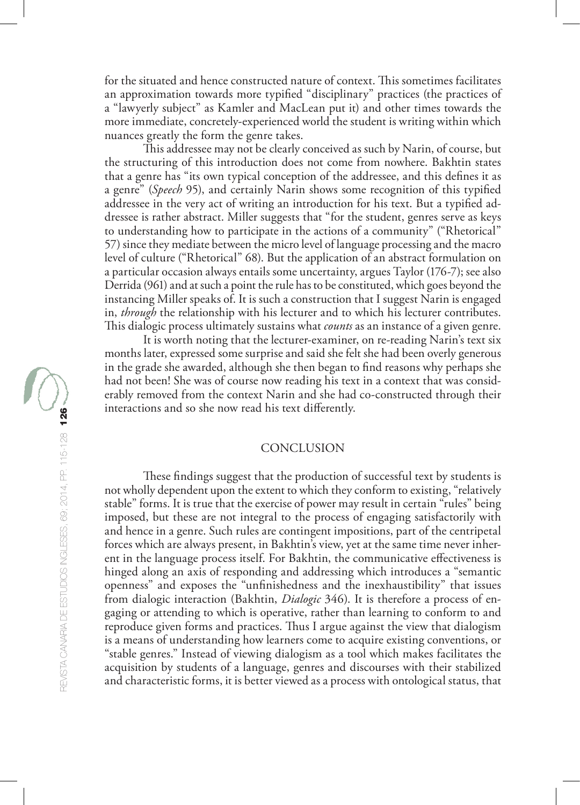for the situated and hence constructed nature of context. This sometimes facilitates an approximation towards more typified "disciplinary" practices (the practices of a "lawyerly subject" as Kamler and MacLean put it) and other times towards the more immediate, concretely-experienced world the student is writing within which nuances greatly the form the genre takes.

This addressee may not be clearly conceived as such by Narin, of course, but the structuring of this introduction does not come from nowhere. Bakhtin states that a genre has "its own typical conception of the addressee, and this defines it as a genre" (*Speech* 95), and certainly Narin shows some recognition of this typified addressee in the very act of writing an introduction for his text. But a typified addressee is rather abstract. Miller suggests that "for the student, genres serve as keys to understanding how to participate in the actions of a community" ("Rhetorical" 57) since they mediate between the micro level of language processing and the macro level of culture ("Rhetorical" 68). But the application of an abstract formulation on a particular occasion always entails some uncertainty, argues Taylor (176-7); see also Derrida (961) and at such a point the rule has to be constituted, which goes beyond the instancing Miller speaks of. It is such a construction that I suggest Narin is engaged in, *through* the relationship with his lecturer and to which his lecturer contributes. This dialogic process ultimately sustains what *counts* as an instance of a given genre.

It is worth noting that the lecturer-examiner, on re-reading Narin's text six months later, expressed some surprise and said she felt she had been overly generous in the grade she awarded, although she then began to find reasons why perhaps she had not been! She was of course now reading his text in a context that was considerably removed from the context Narin and she had co-constructed through their interactions and so she now read his text differently.

### **CONCLUSION**

These findings suggest that the production of successful text by students is not wholly dependent upon the extent to which they conform to existing, "relatively stable" forms. It is true that the exercise of power may result in certain "rules" being imposed, but these are not integral to the process of engaging satisfactorily with and hence in a genre. Such rules are contingent impositions, part of the centripetal forces which are always present, in Bakhtin's view, yet at the same time never inherent in the language process itself. For Bakhtin, the communicative effectiveness is hinged along an axis of responding and addressing which introduces a "semantic openness" and exposes the "unfinishedness and the inexhaustibility" that issues from dialogic interaction (Bakhtin, *Dialogic* 346). It is therefore a process of engaging or attending to which is operative, rather than learning to conform to and reproduce given forms and practices. Thus I argue against the view that dialogism is a means of understanding how learners come to acquire existing conventions, or "stable genres." Instead of viewing dialogism as a tool which makes facilitates the acquisition by students of a language, genres and discourses with their stabilized and characteristic forms, it is better viewed as a process with ontological status, that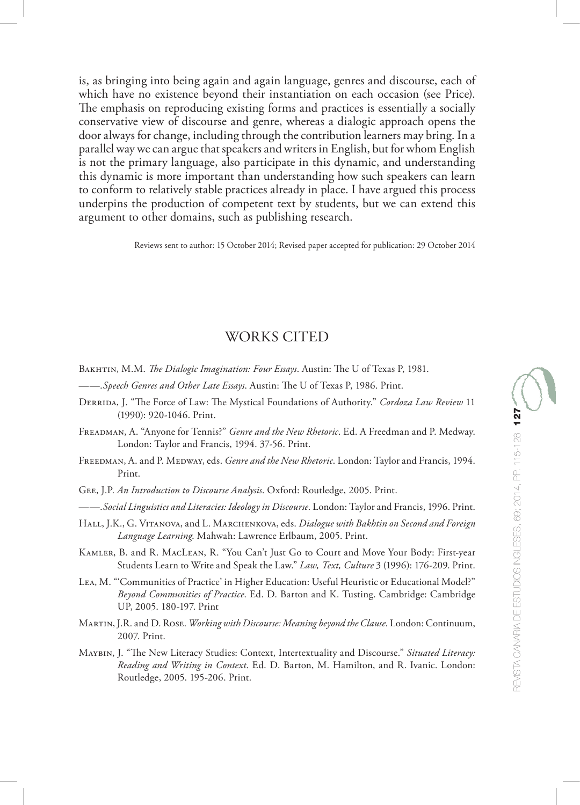is, as bringing into being again and again language, genres and discourse, each of which have no existence beyond their instantiation on each occasion (see Price). The emphasis on reproducing existing forms and practices is essentially a socially conservative view of discourse and genre, whereas a dialogic approach opens the door always for change, including through the contribution learners may bring. In a parallel way we can argue that speakers and writers in English, but for whom English is not the primary language, also participate in this dynamic, and understanding this dynamic is more important than understanding how such speakers can learn to conform to relatively stable practices already in place. I have argued this process underpins the production of competent text by students, but we can extend this argument to other domains, such as publishing research.

Reviews sent to author: 15 October 2014; Revised paper accepted for publication: 29 October 2014

# WORKS CITED

- BAKHTIN, M.M. *The Dialogic Imagination: Four Essays*. Austin: The U of Texas P, 1981.
- ——.*Speech Genres and Other Late Essays*. Austin: The U of Texas P, 1986. Print.
- Derrida, J. "The Force of Law: The Mystical Foundations of Authority." *Cordoza Law Review* 11 (1990): 920-1046. Print.
- Freadman, A. "Anyone for Tennis?" *Genre and the New Rhetoric*. Ed. A Freedman and P. Medway. London: Taylor and Francis, 1994. 37-56. Print.
- Freedman, A. and P. Medway, eds. *Genre and the New Rhetoric*. London: Taylor and Francis, 1994. Print.
- Gee, J.P. *An Introduction to Discourse Analysis*. Oxford: Routledge, 2005. Print.
- ——.*Social Linguistics and Literacies: Ideology in Discourse*. London: Taylor and Francis, 1996. Print.
- Hall, J.K., G. Vitanova, and L. Marchenkova, eds. *Dialogue with Bakhtin on Second and Foreign Language Learning*. Mahwah: Lawrence Erlbaum, 2005. Print.
- Kamler, B. and R. MacLean, R. "You Can't Just Go to Court and Move Your Body: First-year Students Learn to Write and Speak the Law." *Law, Text, Culture* 3 (1996): 176-209. Print.
- Lea, M. "'Communities of Practice' in Higher Education: Useful Heuristic or Educational Model?" *Beyond Communities of Practice*. Ed. D. Barton and K. Tusting. Cambridge: Cambridge UP, 2005. 180-197. Print
- Martin, J.R. and D. Rose. *Working with Discourse: Meaning beyond the Clause*. London: Continuum, 2007. Print.
- Maybin, J. "The New Literacy Studies: Context, Intertextuality and Discourse." *Situated Literacy: Reading and Writing in Context*. Ed. D. Barton, M. Hamilton, and R. Ivanic. London: Routledge, 2005. 195-206. Print.